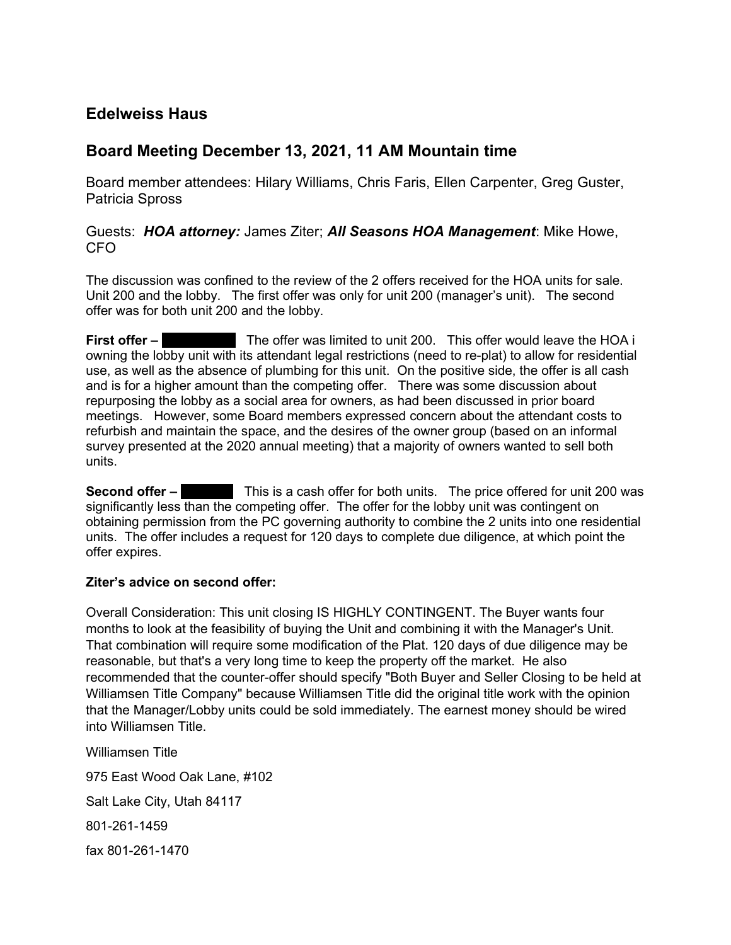# Edelweiss Haus

## Board Meeting December 13, 2021, 11 AM Mountain time

Board member attendees: Hilary Williams, Chris Faris, Ellen Carpenter, Greg Guster, Patricia Spross

## Guests: HOA attorney: James Ziter; All Seasons HOA Management: Mike Howe, CFO

The discussion was confined to the review of the 2 offers received for the HOA units for sale. Unit 200 and the lobby. The first offer was only for unit 200 (manager's unit). The second offer was for both unit 200 and the lobby.

First offer – The offer was limited to unit 200. This offer would leave the HOA i owning the lobby unit with its attendant legal restrictions (need to re-plat) to allow for residential use, as well as the absence of plumbing for this unit. On the positive side, the offer is all cash and is for a higher amount than the competing offer. There was some discussion about repurposing the lobby as a social area for owners, as had been discussed in prior board meetings. However, some Board members expressed concern about the attendant costs to refurbish and maintain the space, and the desires of the owner group (based on an informal survey presented at the 2020 annual meeting) that a majority of owners wanted to sell both units.

**Second offer – Cushing This is a cash offer for both units. The price offered for unit 200 was** significantly less than the competing offer. The offer for the lobby unit was contingent on obtaining permission from the PC governing authority to combine the 2 units into one residential units. The offer includes a request for 120 days to complete due diligence, at which point the offer expires.

### Ziter's advice on second offer:

Overall Consideration: This unit closing IS HIGHLY CONTINGENT. The Buyer wants four months to look at the feasibility of buying the Unit and combining it with the Manager's Unit. That combination will require some modification of the Plat. 120 days of due diligence may be reasonable, but that's a very long time to keep the property off the market. He also recommended that the counter-offer should specify "Both Buyer and Seller Closing to be held at Williamsen Title Company" because Williamsen Title did the original title work with the opinion that the Manager/Lobby units could be sold immediately. The earnest money should be wired into Williamsen Title.

Williamsen Title 975 East Wood Oak Lane, #102 Salt Lake City, Utah 84117 801-261-1459 fax 801-261-1470